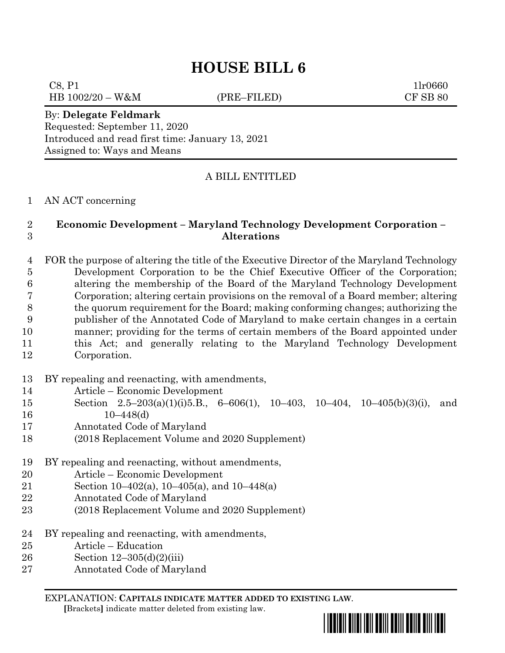# **HOUSE BILL 6**

 $C8, P1$  1lr0660 HB 1002/20 – W&M (PRE–FILED) CF SB 80

By: **Delegate Feldmark** Requested: September 11, 2020 Introduced and read first time: January 13, 2021 Assigned to: Ways and Means

## A BILL ENTITLED

#### AN ACT concerning

#### **Economic Development – Maryland Technology Development Corporation – Alterations**

 FOR the purpose of altering the title of the Executive Director of the Maryland Technology Development Corporation to be the Chief Executive Officer of the Corporation; altering the membership of the Board of the Maryland Technology Development Corporation; altering certain provisions on the removal of a Board member; altering the quorum requirement for the Board; making conforming changes; authorizing the publisher of the Annotated Code of Maryland to make certain changes in a certain manner; providing for the terms of certain members of the Board appointed under this Act; and generally relating to the Maryland Technology Development Corporation.

- BY repealing and reenacting, with amendments,
- Article Economic Development
- Section 2.5–203(a)(1)(i)5.B., 6–606(1), 10–403, 10–404, 10–405(b)(3)(i), and 10–448(d)
- Annotated Code of Maryland
- (2018 Replacement Volume and 2020 Supplement)
- BY repealing and reenacting, without amendments,
- Article Economic Development
- Section 10–402(a), 10–405(a), and 10–448(a)
- Annotated Code of Maryland
- (2018 Replacement Volume and 2020 Supplement)
- BY repealing and reenacting, with amendments,
- Article Education
- Section 12–305(d)(2)(iii)
- Annotated Code of Maryland

EXPLANATION: **CAPITALS INDICATE MATTER ADDED TO EXISTING LAW**.  **[**Brackets**]** indicate matter deleted from existing law.

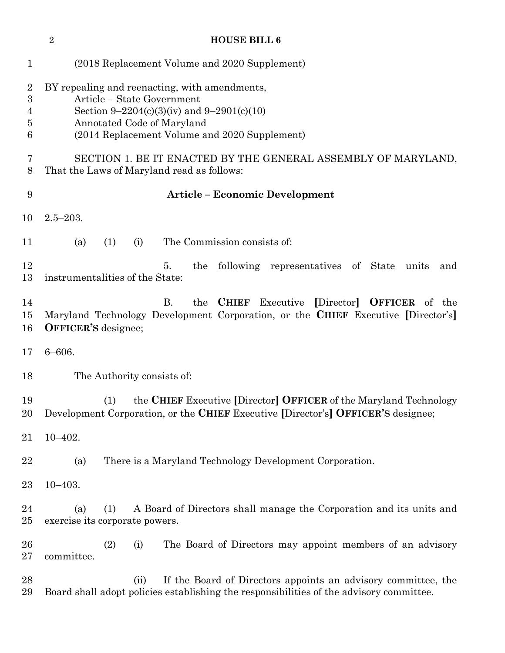|                                    | $\sqrt{2}$                                                                                                                                                                                               |                            | <b>HOUSE BILL 6</b>                                                                                                                                                |  |  |  |  |  |
|------------------------------------|----------------------------------------------------------------------------------------------------------------------------------------------------------------------------------------------------------|----------------------------|--------------------------------------------------------------------------------------------------------------------------------------------------------------------|--|--|--|--|--|
| $\mathbf{1}$                       |                                                                                                                                                                                                          |                            | (2018 Replacement Volume and 2020 Supplement)                                                                                                                      |  |  |  |  |  |
| $\overline{2}$<br>3<br>4<br>5<br>6 | BY repealing and reenacting, with amendments,<br>Article – State Government<br>Section 9-2204(c)(3)(iv) and 9-2901(c)(10)<br>Annotated Code of Maryland<br>(2014 Replacement Volume and 2020 Supplement) |                            |                                                                                                                                                                    |  |  |  |  |  |
| 7<br>8                             | SECTION 1. BE IT ENACTED BY THE GENERAL ASSEMBLY OF MARYLAND,<br>That the Laws of Maryland read as follows:                                                                                              |                            |                                                                                                                                                                    |  |  |  |  |  |
| 9                                  |                                                                                                                                                                                                          |                            | <b>Article - Economic Development</b>                                                                                                                              |  |  |  |  |  |
| 10                                 | $2.5 - 203.$                                                                                                                                                                                             |                            |                                                                                                                                                                    |  |  |  |  |  |
| 11                                 | (1)<br>(a)                                                                                                                                                                                               | (i)                        | The Commission consists of:                                                                                                                                        |  |  |  |  |  |
| 12<br>13                           | instrumentalities of the State:                                                                                                                                                                          |                            | following representatives of State units<br>5.<br>the<br>and                                                                                                       |  |  |  |  |  |
| 14<br>15<br>16                     | <b>OFFICER'S</b> designee;                                                                                                                                                                               |                            | <b>B.</b><br><b>CHIEF</b> Executive<br>[Director] <b>OFFICER</b> of the<br>the<br>Maryland Technology Development Corporation, or the CHIEF Executive [Director's] |  |  |  |  |  |
| 17                                 | $6 - 606.$                                                                                                                                                                                               |                            |                                                                                                                                                                    |  |  |  |  |  |
| 18                                 |                                                                                                                                                                                                          | The Authority consists of: |                                                                                                                                                                    |  |  |  |  |  |
| 19<br>20                           | (1)                                                                                                                                                                                                      |                            | the CHIEF Executive [Director] OFFICER of the Maryland Technology<br>Development Corporation, or the CHIEF Executive [Director's] OFFICER'S designee;              |  |  |  |  |  |
| 21                                 | $10 - 402.$                                                                                                                                                                                              |                            |                                                                                                                                                                    |  |  |  |  |  |
| 22                                 | (a)                                                                                                                                                                                                      |                            | There is a Maryland Technology Development Corporation.                                                                                                            |  |  |  |  |  |
| 23                                 | $10 - 403.$                                                                                                                                                                                              |                            |                                                                                                                                                                    |  |  |  |  |  |
| 24<br>25                           | (a)<br>(1)<br>exercise its corporate powers.                                                                                                                                                             |                            | A Board of Directors shall manage the Corporation and its units and                                                                                                |  |  |  |  |  |
| $26\,$<br>$27\,$                   | (2)<br>committee.                                                                                                                                                                                        | (i)                        | The Board of Directors may appoint members of an advisory                                                                                                          |  |  |  |  |  |
| 28<br>29                           |                                                                                                                                                                                                          | (ii)                       | If the Board of Directors appoints an advisory committee, the<br>Board shall adopt policies establishing the responsibilities of the advisory committee.           |  |  |  |  |  |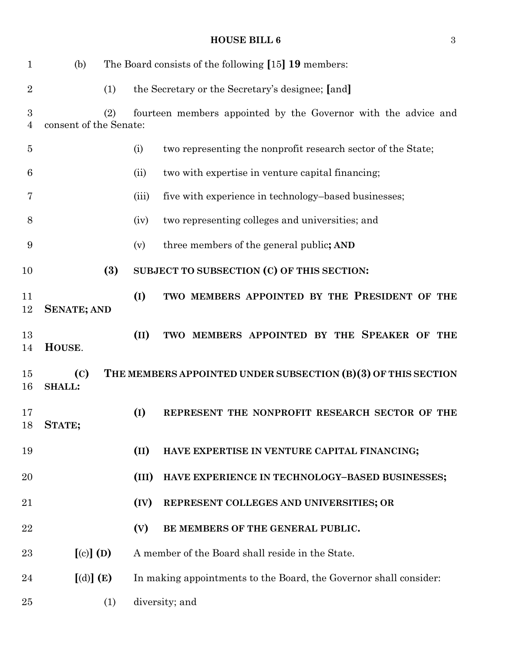| $\mathbf 1$    | (b)                                            |     |       | The Board consists of the following [15] 19 members:              |
|----------------|------------------------------------------------|-----|-------|-------------------------------------------------------------------|
| $\overline{2}$ |                                                | (1) |       | the Secretary or the Secretary's designee; [and]                  |
| 3<br>4         | consent of the Senate:                         | (2) |       | fourteen members appointed by the Governor with the advice and    |
| $\overline{5}$ |                                                |     | (i)   | two representing the nonprofit research sector of the State;      |
| 6              |                                                |     | (ii)  | two with expertise in venture capital financing;                  |
| 7              |                                                |     | (iii) | five with experience in technology-based businesses;              |
| 8              |                                                |     | (iv)  | two representing colleges and universities; and                   |
| 9              |                                                |     | (v)   | three members of the general public; AND                          |
| 10             |                                                | (3) |       | SUBJECT TO SUBSECTION (C) OF THIS SECTION:                        |
| 11<br>12       | <b>SENATE; AND</b>                             |     | (I)   | TWO MEMBERS APPOINTED BY THE PRESIDENT OF THE                     |
| 13<br>14       | HOUSE.                                         |     | (II)  | TWO MEMBERS APPOINTED BY THE SPEAKER OF THE                       |
| 15<br>16       | $\left( \mathrm{C}\right)$<br><b>SHALL:</b>    |     |       | THE MEMBERS APPOINTED UNDER SUBSECTION (B)(3) OF THIS SECTION     |
| 17<br>18       | STATE;                                         |     | (I)   | REPRESENT THE NONPROFIT RESEARCH SECTOR OF THE                    |
| 19             |                                                |     | (II)  | HAVE EXPERTISE IN VENTURE CAPITAL FINANCING;                      |
| 20             |                                                |     | (III) | HAVE EXPERIENCE IN TECHNOLOGY-BASED BUSINESSES;                   |
| 21             |                                                |     | (IV)  | REPRESENT COLLEGES AND UNIVERSITIES; OR                           |
| 22             |                                                |     | (V)   | BE MEMBERS OF THE GENERAL PUBLIC.                                 |
| 23             | $\left[\text{(c)}\right]\left(\text{D}\right)$ |     |       | A member of the Board shall reside in the State.                  |
| 24             | [(d)] (E)                                      |     |       | In making appointments to the Board, the Governor shall consider: |
| 25             |                                                | (1) |       | diversity; and                                                    |

## **HOUSE BILL 6** 3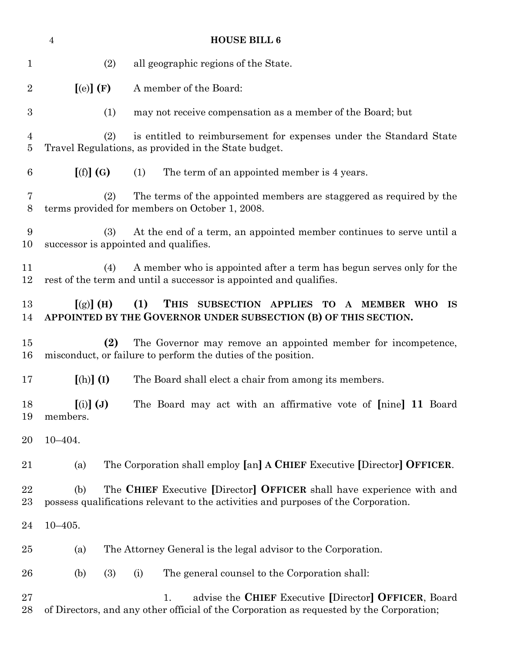|                     | $\boldsymbol{4}$                                                 | <b>HOUSE BILL 6</b>                                                                                                                                         |
|---------------------|------------------------------------------------------------------|-------------------------------------------------------------------------------------------------------------------------------------------------------------|
| $\mathbf 1$         | (2)                                                              | all geographic regions of the State.                                                                                                                        |
| $\overline{2}$      | [(e)](F)                                                         | A member of the Board:                                                                                                                                      |
| $\boldsymbol{3}$    | (1)                                                              | may not receive compensation as a member of the Board; but                                                                                                  |
| $\overline{4}$<br>5 | (2)                                                              | is entitled to reimbursement for expenses under the Standard State<br>Travel Regulations, as provided in the State budget.                                  |
| $6\phantom{.}6$     | [(f)](G)                                                         | The term of an appointed member is 4 years.<br>(1)                                                                                                          |
| 7<br>8              | (2)                                                              | The terms of the appointed members are staggered as required by the<br>terms provided for members on October 1, 2008.                                       |
| 9<br>10             | (3)                                                              | At the end of a term, an appointed member continues to serve until a<br>successor is appointed and qualifies.                                               |
| 11<br>12            | (4)                                                              | A member who is appointed after a term has begun serves only for the<br>rest of the term and until a successor is appointed and qualifies.                  |
| 13<br>14            | $[(g)]$ (H)                                                      | (1)<br>THIS SUBSECTION APPLIES TO A MEMBER WHO<br>IS<br>APPOINTED BY THE GOVERNOR UNDER SUBSECTION (B) OF THIS SECTION.                                     |
| 15<br>16            | (2)                                                              | The Governor may remove an appointed member for incompetence,<br>misconduct, or failure to perform the duties of the position.                              |
| 17                  | $[(h)]$ $(I)$                                                    | The Board shall elect a chair from among its members.                                                                                                       |
| 18<br>19            | $\left[\left(i\right)\right]\left(\mathbf{J}\right)$<br>members. | The Board may act with an affirmative vote of [nine] 11 Board                                                                                               |
| 20                  | $10 - 404.$                                                      |                                                                                                                                                             |
| 21                  | (a)                                                              | The Corporation shall employ [an] A CHIEF Executive [Director] OFFICER.                                                                                     |
| 22<br>23            | (b)                                                              | The CHIEF Executive [Director] OFFICER shall have experience with and<br>possess qualifications relevant to the activities and purposes of the Corporation. |
| 24                  | $10 - 405.$                                                      |                                                                                                                                                             |
| 25                  | (a)                                                              | The Attorney General is the legal advisor to the Corporation.                                                                                               |
| 26                  | (3)<br>(b)                                                       | The general counsel to the Corporation shall:<br>(i)                                                                                                        |
| 27<br>28            |                                                                  | advise the CHIEF Executive [Director] OFFICER, Board<br>1.<br>of Directors, and any other official of the Corporation as requested by the Corporation;      |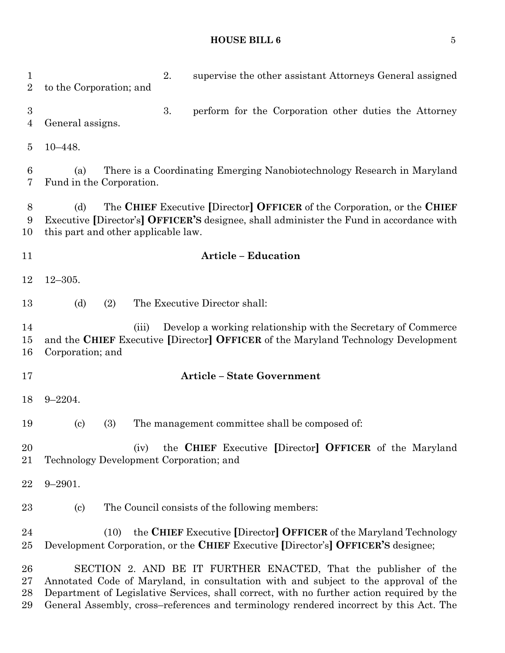## **HOUSE BILL 6** 5

| 1<br>$\overline{2}$      | 2.<br>supervise the other assistant Attorneys General assigned<br>to the Corporation; and                                                                                                                                                                                                                                                     |
|--------------------------|-----------------------------------------------------------------------------------------------------------------------------------------------------------------------------------------------------------------------------------------------------------------------------------------------------------------------------------------------|
| 3<br>4                   | 3.<br>perform for the Corporation other duties the Attorney<br>General assigns.                                                                                                                                                                                                                                                               |
| 5                        | $10 - 448.$                                                                                                                                                                                                                                                                                                                                   |
| 6<br>7                   | There is a Coordinating Emerging Nanobiotechnology Research in Maryland<br>(a)<br>Fund in the Corporation.                                                                                                                                                                                                                                    |
| 8<br>9<br>10             | The CHIEF Executive [Director] OFFICER of the Corporation, or the CHIEF<br>(d)<br>Executive [Director's] OFFICER'S designee, shall administer the Fund in accordance with<br>this part and other applicable law.                                                                                                                              |
| 11                       | <b>Article - Education</b>                                                                                                                                                                                                                                                                                                                    |
| 12                       | $12 - 305.$                                                                                                                                                                                                                                                                                                                                   |
| 13                       | (d)<br>(2)<br>The Executive Director shall:                                                                                                                                                                                                                                                                                                   |
| 14<br>15<br>16           | Develop a working relationship with the Secretary of Commerce<br>(iii)<br>and the CHIEF Executive [Director] OFFICER of the Maryland Technology Development<br>Corporation; and                                                                                                                                                               |
| 17                       | <b>Article - State Government</b>                                                                                                                                                                                                                                                                                                             |
| 18                       | $9 - 2204.$                                                                                                                                                                                                                                                                                                                                   |
| 19                       | The management committee shall be composed of:<br>(3)<br>$\left( \mathrm{c}\right)$                                                                                                                                                                                                                                                           |
| 20<br>21                 | the CHIEF Executive [Director] OFFICER of the Maryland<br>(iv)<br>Technology Development Corporation; and                                                                                                                                                                                                                                     |
| 22                       | $9 - 2901.$                                                                                                                                                                                                                                                                                                                                   |
| 23                       | The Council consists of the following members:<br>$\left( \mathrm{c}\right)$                                                                                                                                                                                                                                                                  |
| 24<br>$25\,$             | the CHIEF Executive [Director] OFFICER of the Maryland Technology<br>(10)<br>Development Corporation, or the CHIEF Executive [Director's] OFFICER'S designee;                                                                                                                                                                                 |
| 26<br>$27\,$<br>28<br>29 | SECTION 2. AND BE IT FURTHER ENACTED, That the publisher of the<br>Annotated Code of Maryland, in consultation with and subject to the approval of the<br>Department of Legislative Services, shall correct, with no further action required by the<br>General Assembly, cross–references and terminology rendered incorrect by this Act. The |